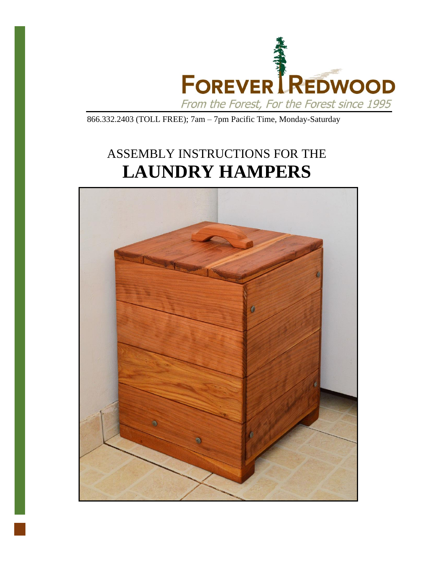

866.332.2403 (TOLL FREE); 7am – 7pm Pacific Time, Monday-Saturday

## ASSEMBLY INSTRUCTIONS FOR THE **LAUNDRY HAMPERS**

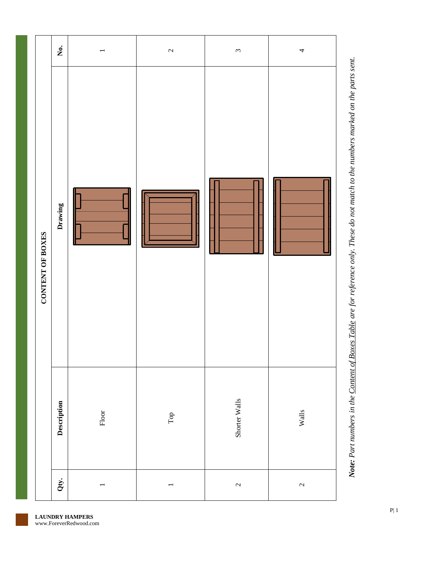

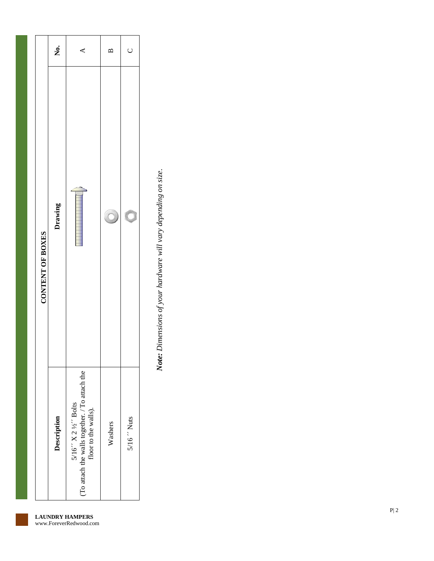| CONTENT OF BOXES | Ż.          | ⋖                                                                                                            |         | $\cup$      |
|------------------|-------------|--------------------------------------------------------------------------------------------------------------|---------|-------------|
|                  | Drawing     |                                                                                                              |         |             |
|                  | Description | $5/16'' \times 2\frac{1}{2}$ Bolts<br>(To attach the walls together. / To attach the<br>floor to the walls). | Washers | 5/16 " Nuts |

Note: Dimensions of your hardware will vary depending on size. *Note: Dimensions of your hardware will vary depending on size.*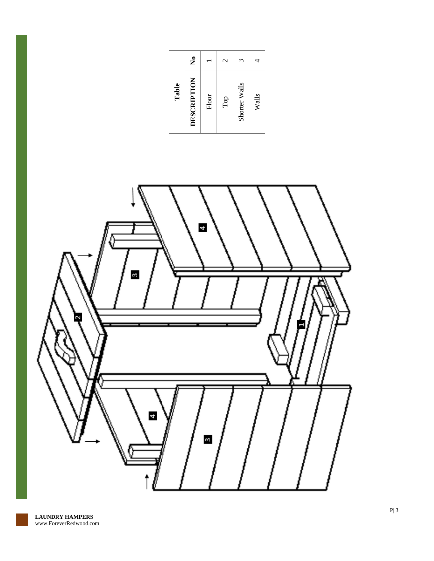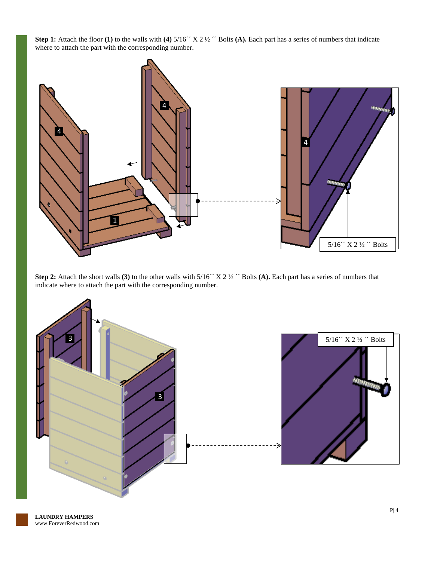**Step 1:** Attach the floor **(1)** to the walls with **(4)** 5/16´´ X 2 ½ ´´ Bolts **(A).** Each part has a series of numbers that indicate where to attach the part with the corresponding number.



**Step 2:** Attach the short walls (3) to the other walls with  $5/16''$  X 2 ½ " Bolts (A). Each part has a series of numbers that indicate where to attach the part with the corresponding number.